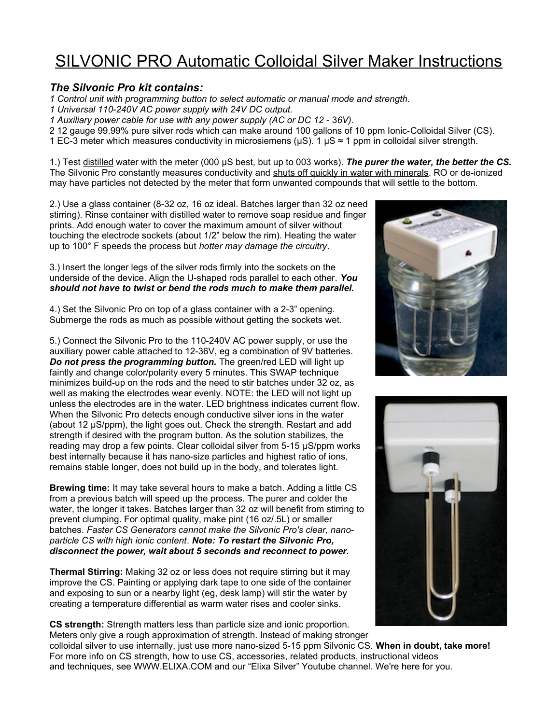## SILVONIC PRO Automatic Colloidal Silver Maker Instructions

## *The Silvonic Pro kit contains:*

*1 Control unit with programming button to select automatic or manual mode and strength.*

- *1 Universal 110-240V AC power supply with 24V DC output.*
- *1 Auxiliary power cable for use with any power supply (AC or DC 12 36V).*

2 12 gauge 99.99% pure silver rods which can make around 100 gallons of 10 ppm Ionic-Colloidal Silver (CS).

1 EC-3 meter which measures conductivity in microsiemens ( $\mu$ S). 1  $\mu$ S ≈ 1 ppm in colloidal silver strength.

1.) Test distilled water with the meter (000 µS best, but up to 003 works). *The purer the water, the better the CS.* The Silvonic Pro constantly measures conductivity and shuts off quickly in water with minerals. RO or de-ionized may have particles not detected by the meter that form unwanted compounds that will settle to the bottom.

2.) Use a glass container (8-32 oz, 16 oz ideal. Batches larger than 32 oz need stirring). Rinse container with distilled water to remove soap residue and finger prints. Add enough water to cover the maximum amount of silver without touching the electrode sockets (about 1/2" below the rim). Heating the water up to 100° F speeds the process but *hotter may damage the circuitry*.

3.) Insert the longer legs of the silver rods firmly into the sockets on the underside of the device. Align the U-shaped rods parallel to each other. *You should not have to twist or bend the rods much to make them parallel.*

4.) Set the Silvonic Pro on top of a glass container with a 2-3" opening. Submerge the rods as much as possible without getting the sockets wet.

5.) Connect the Silvonic Pro to the 110-240V AC power supply, or use the auxiliary power cable attached to 12-36V, eg a combination of 9V batteries. *Do not press the programming button.* The green/red LED will light up faintly and change color/polarity every 5 minutes. This SWAP technique minimizes build-up on the rods and the need to stir batches under 32 oz, as well as making the electrodes wear evenly. NOTE: the LED will not light up unless the electrodes are in the water. LED brightness indicates current flow. When the Silvonic Pro detects enough conductive silver ions in the water (about 12 µS/ppm), the light goes out. Check the strength. Restart and add strength if desired with the program button. As the solution stabilizes, the reading may drop a few points. Clear colloidal silver from 5-15 µS/ppm works best internally because it has nano-size particles and highest ratio of ions, remains stable longer, does not build up in the body, and tolerates light.

**Brewing time:** It may take several hours to make a batch. Adding a little CS from a previous batch will speed up the process. The purer and colder the water, the longer it takes. Batches larger than 32 oz will benefit from stirring to prevent clumping. For optimal quality, make pint (16 oz/.5L) or smaller batches. *Faster CS Generators cannot make the Silvonic Pro's clear, nanoparticle CS with high ionic content*. *Note: To restart the Silvonic Pro, disconnect the power, wait about 5 seconds and reconnect to power.*

**Thermal Stirring:** Making 32 oz or less does not require stirring but it may improve the CS. Painting or applying dark tape to one side of the container and exposing to sun or a nearby light (eg, desk lamp) will stir the water by creating a temperature differential as warm water rises and cooler sinks.

**CS strength:** Strength matters less than particle size and ionic proportion. Meters only give a rough approximation of strength. Instead of making stronger





colloidal silver to use internally, just use more nano-sized 5-15 ppm Silvonic CS. **When in doubt, take more!** For more info on CS strength, how to use CS, accessories, related products, instructional videos and techniques, see WWW.ELIXA.COM and our "Elixa Silver" Youtube channel. We're here for you.